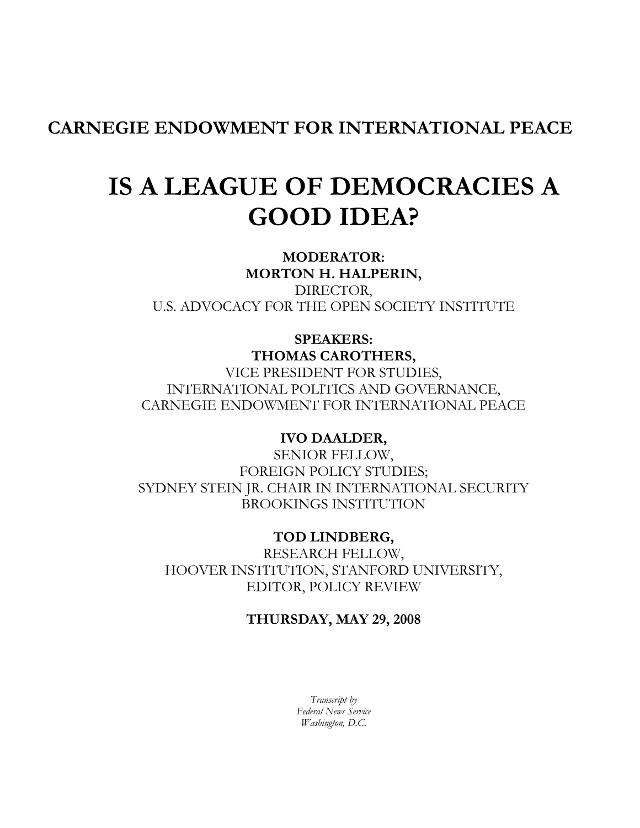CARNEGIE ENDOWMENT FOR INTERNATIONAL PEACE

# IS A LEAGUE OF DEMOCRACIES A GOOD IDEA?

MODERATOR: MORTON H. HALPERIN, DIRECTOR, U.S. ADVOCACY FOR THE OPEN SOCIETY INSTITUTE

# SPEAKERS: THOMAS CAROTHERS, VICE PRESIDENT FOR STUDIES, INTERNATIONAL POLITICS AND GOVERNANCE, CARNEGIE ENDOWMENT FOR INTERNATIONAL PEACE

# IVO DAALDER,

SENIOR FELLOW, FOREIGN POLICY STUDIES; SYDNEY STEIN JR. CHAIR IN INTERNATIONAL SECURITY BROOKINGS INSTITUTION

TOD LINDBERG, RESEARCH FELLOW, HOOVER INSTITUTION, STANFORD UNIVERSITY, EDITOR, POLICY REVIEW

# THURSDAY, MAY 29, 2008

Transcript by Federal News Service Washington, D.C.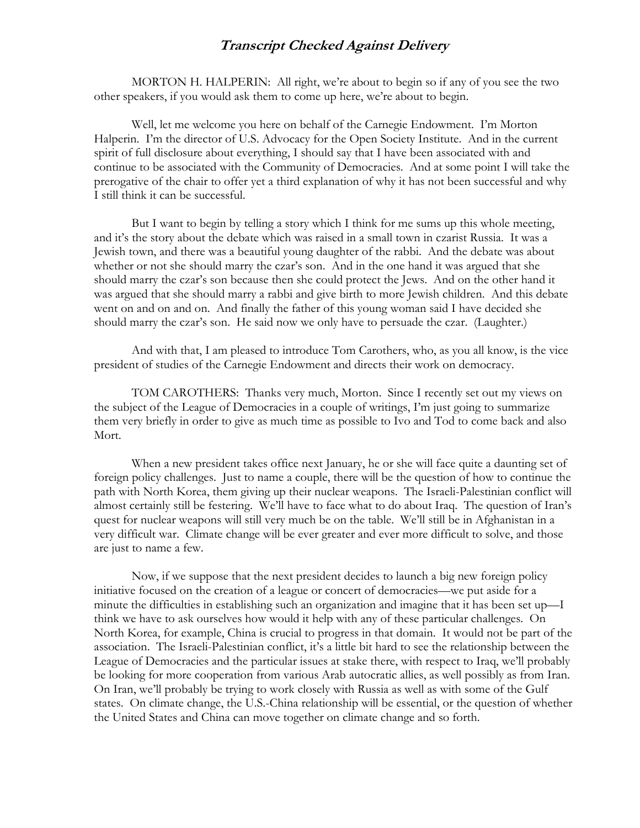MORTON H. HALPERIN: All right, we're about to begin so if any of you see the two other speakers, if you would ask them to come up here, we're about to begin.

Well, let me welcome you here on behalf of the Carnegie Endowment. I'm Morton Halperin. I'm the director of U.S. Advocacy for the Open Society Institute. And in the current spirit of full disclosure about everything, I should say that I have been associated with and continue to be associated with the Community of Democracies. And at some point I will take the prerogative of the chair to offer yet a third explanation of why it has not been successful and why I still think it can be successful.

But I want to begin by telling a story which I think for me sums up this whole meeting, and it's the story about the debate which was raised in a small town in czarist Russia. It was a Jewish town, and there was a beautiful young daughter of the rabbi. And the debate was about whether or not she should marry the czar's son. And in the one hand it was argued that she should marry the czar's son because then she could protect the Jews. And on the other hand it was argued that she should marry a rabbi and give birth to more Jewish children. And this debate went on and on and on. And finally the father of this young woman said I have decided she should marry the czar's son. He said now we only have to persuade the czar. (Laughter.)

And with that, I am pleased to introduce Tom Carothers, who, as you all know, is the vice president of studies of the Carnegie Endowment and directs their work on democracy.

TOM CAROTHERS: Thanks very much, Morton. Since I recently set out my views on the subject of the League of Democracies in a couple of writings, I'm just going to summarize them very briefly in order to give as much time as possible to Ivo and Tod to come back and also Mort.

When a new president takes office next January, he or she will face quite a daunting set of foreign policy challenges. Just to name a couple, there will be the question of how to continue the path with North Korea, them giving up their nuclear weapons. The Israeli-Palestinian conflict will almost certainly still be festering. We'll have to face what to do about Iraq. The question of Iran's quest for nuclear weapons will still very much be on the table. We'll still be in Afghanistan in a very difficult war. Climate change will be ever greater and ever more difficult to solve, and those are just to name a few.

Now, if we suppose that the next president decides to launch a big new foreign policy initiative focused on the creation of a league or concert of democracies—we put aside for a minute the difficulties in establishing such an organization and imagine that it has been set up—I think we have to ask ourselves how would it help with any of these particular challenges. On North Korea, for example, China is crucial to progress in that domain. It would not be part of the association. The Israeli-Palestinian conflict, it's a little bit hard to see the relationship between the League of Democracies and the particular issues at stake there, with respect to Iraq, we'll probably be looking for more cooperation from various Arab autocratic allies, as well possibly as from Iran. On Iran, we'll probably be trying to work closely with Russia as well as with some of the Gulf states. On climate change, the U.S.-China relationship will be essential, or the question of whether the United States and China can move together on climate change and so forth.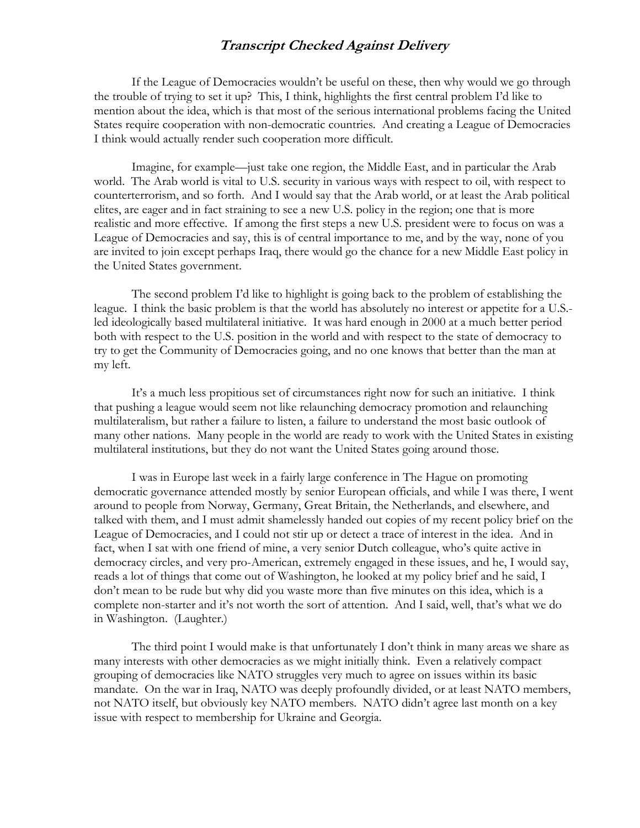If the League of Democracies wouldn't be useful on these, then why would we go through the trouble of trying to set it up? This, I think, highlights the first central problem I'd like to mention about the idea, which is that most of the serious international problems facing the United States require cooperation with non-democratic countries. And creating a League of Democracies I think would actually render such cooperation more difficult.

Imagine, for example—just take one region, the Middle East, and in particular the Arab world. The Arab world is vital to U.S. security in various ways with respect to oil, with respect to counterterrorism, and so forth. And I would say that the Arab world, or at least the Arab political elites, are eager and in fact straining to see a new U.S. policy in the region; one that is more realistic and more effective. If among the first steps a new U.S. president were to focus on was a League of Democracies and say, this is of central importance to me, and by the way, none of you are invited to join except perhaps Iraq, there would go the chance for a new Middle East policy in the United States government.

The second problem I'd like to highlight is going back to the problem of establishing the league. I think the basic problem is that the world has absolutely no interest or appetite for a U.S. led ideologically based multilateral initiative. It was hard enough in 2000 at a much better period both with respect to the U.S. position in the world and with respect to the state of democracy to try to get the Community of Democracies going, and no one knows that better than the man at my left.

It's a much less propitious set of circumstances right now for such an initiative. I think that pushing a league would seem not like relaunching democracy promotion and relaunching multilateralism, but rather a failure to listen, a failure to understand the most basic outlook of many other nations. Many people in the world are ready to work with the United States in existing multilateral institutions, but they do not want the United States going around those.

I was in Europe last week in a fairly large conference in The Hague on promoting democratic governance attended mostly by senior European officials, and while I was there, I went around to people from Norway, Germany, Great Britain, the Netherlands, and elsewhere, and talked with them, and I must admit shamelessly handed out copies of my recent policy brief on the League of Democracies, and I could not stir up or detect a trace of interest in the idea. And in fact, when I sat with one friend of mine, a very senior Dutch colleague, who's quite active in democracy circles, and very pro-American, extremely engaged in these issues, and he, I would say, reads a lot of things that come out of Washington, he looked at my policy brief and he said, I don't mean to be rude but why did you waste more than five minutes on this idea, which is a complete non-starter and it's not worth the sort of attention. And I said, well, that's what we do in Washington. (Laughter.)

The third point I would make is that unfortunately I don't think in many areas we share as many interests with other democracies as we might initially think. Even a relatively compact grouping of democracies like NATO struggles very much to agree on issues within its basic mandate. On the war in Iraq, NATO was deeply profoundly divided, or at least NATO members, not NATO itself, but obviously key NATO members. NATO didn't agree last month on a key issue with respect to membership for Ukraine and Georgia.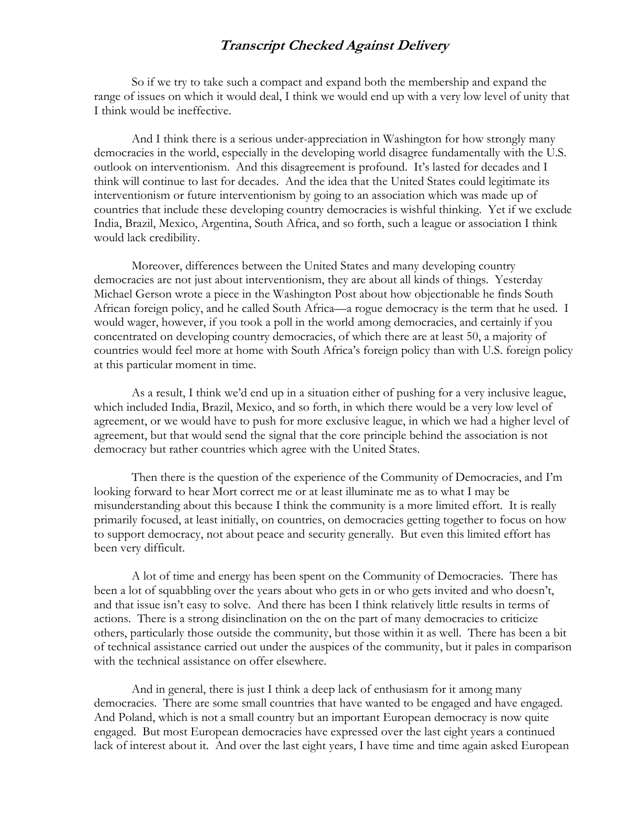So if we try to take such a compact and expand both the membership and expand the range of issues on which it would deal, I think we would end up with a very low level of unity that I think would be ineffective.

And I think there is a serious under-appreciation in Washington for how strongly many democracies in the world, especially in the developing world disagree fundamentally with the U.S. outlook on interventionism. And this disagreement is profound. It's lasted for decades and I think will continue to last for decades. And the idea that the United States could legitimate its interventionism or future interventionism by going to an association which was made up of countries that include these developing country democracies is wishful thinking. Yet if we exclude India, Brazil, Mexico, Argentina, South Africa, and so forth, such a league or association I think would lack credibility.

Moreover, differences between the United States and many developing country democracies are not just about interventionism, they are about all kinds of things. Yesterday Michael Gerson wrote a piece in the Washington Post about how objectionable he finds South African foreign policy, and he called South Africa—a rogue democracy is the term that he used. I would wager, however, if you took a poll in the world among democracies, and certainly if you concentrated on developing country democracies, of which there are at least 50, a majority of countries would feel more at home with South Africa's foreign policy than with U.S. foreign policy at this particular moment in time.

As a result, I think we'd end up in a situation either of pushing for a very inclusive league, which included India, Brazil, Mexico, and so forth, in which there would be a very low level of agreement, or we would have to push for more exclusive league, in which we had a higher level of agreement, but that would send the signal that the core principle behind the association is not democracy but rather countries which agree with the United States.

Then there is the question of the experience of the Community of Democracies, and I'm looking forward to hear Mort correct me or at least illuminate me as to what I may be misunderstanding about this because I think the community is a more limited effort. It is really primarily focused, at least initially, on countries, on democracies getting together to focus on how to support democracy, not about peace and security generally. But even this limited effort has been very difficult.

A lot of time and energy has been spent on the Community of Democracies. There has been a lot of squabbling over the years about who gets in or who gets invited and who doesn't, and that issue isn't easy to solve. And there has been I think relatively little results in terms of actions. There is a strong disinclination on the on the part of many democracies to criticize others, particularly those outside the community, but those within it as well. There has been a bit of technical assistance carried out under the auspices of the community, but it pales in comparison with the technical assistance on offer elsewhere.

And in general, there is just I think a deep lack of enthusiasm for it among many democracies. There are some small countries that have wanted to be engaged and have engaged. And Poland, which is not a small country but an important European democracy is now quite engaged. But most European democracies have expressed over the last eight years a continued lack of interest about it. And over the last eight years, I have time and time again asked European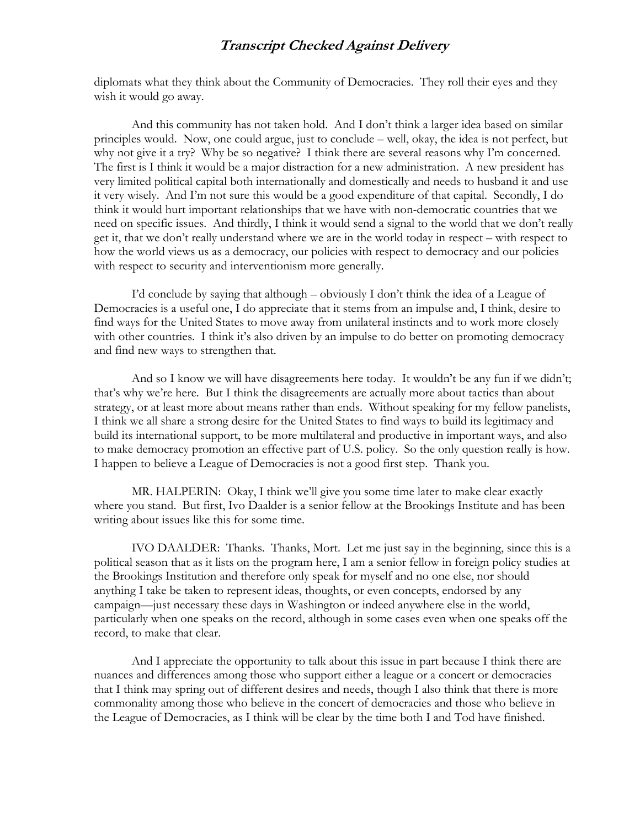diplomats what they think about the Community of Democracies. They roll their eyes and they wish it would go away.

And this community has not taken hold. And I don't think a larger idea based on similar principles would. Now, one could argue, just to conclude – well, okay, the idea is not perfect, but why not give it a try? Why be so negative? I think there are several reasons why I'm concerned. The first is I think it would be a major distraction for a new administration. A new president has very limited political capital both internationally and domestically and needs to husband it and use it very wisely. And I'm not sure this would be a good expenditure of that capital. Secondly, I do think it would hurt important relationships that we have with non-democratic countries that we need on specific issues. And thirdly, I think it would send a signal to the world that we don't really get it, that we don't really understand where we are in the world today in respect – with respect to how the world views us as a democracy, our policies with respect to democracy and our policies with respect to security and interventionism more generally.

I'd conclude by saying that although – obviously I don't think the idea of a League of Democracies is a useful one, I do appreciate that it stems from an impulse and, I think, desire to find ways for the United States to move away from unilateral instincts and to work more closely with other countries. I think it's also driven by an impulse to do better on promoting democracy and find new ways to strengthen that.

And so I know we will have disagreements here today. It wouldn't be any fun if we didn't; that's why we're here. But I think the disagreements are actually more about tactics than about strategy, or at least more about means rather than ends. Without speaking for my fellow panelists, I think we all share a strong desire for the United States to find ways to build its legitimacy and build its international support, to be more multilateral and productive in important ways, and also to make democracy promotion an effective part of U.S. policy. So the only question really is how. I happen to believe a League of Democracies is not a good first step. Thank you.

MR. HALPERIN: Okay, I think we'll give you some time later to make clear exactly where you stand. But first, Ivo Daalder is a senior fellow at the Brookings Institute and has been writing about issues like this for some time.

IVO DAALDER: Thanks. Thanks, Mort. Let me just say in the beginning, since this is a political season that as it lists on the program here, I am a senior fellow in foreign policy studies at the Brookings Institution and therefore only speak for myself and no one else, nor should anything I take be taken to represent ideas, thoughts, or even concepts, endorsed by any campaign—just necessary these days in Washington or indeed anywhere else in the world, particularly when one speaks on the record, although in some cases even when one speaks off the record, to make that clear.

And I appreciate the opportunity to talk about this issue in part because I think there are nuances and differences among those who support either a league or a concert or democracies that I think may spring out of different desires and needs, though I also think that there is more commonality among those who believe in the concert of democracies and those who believe in the League of Democracies, as I think will be clear by the time both I and Tod have finished.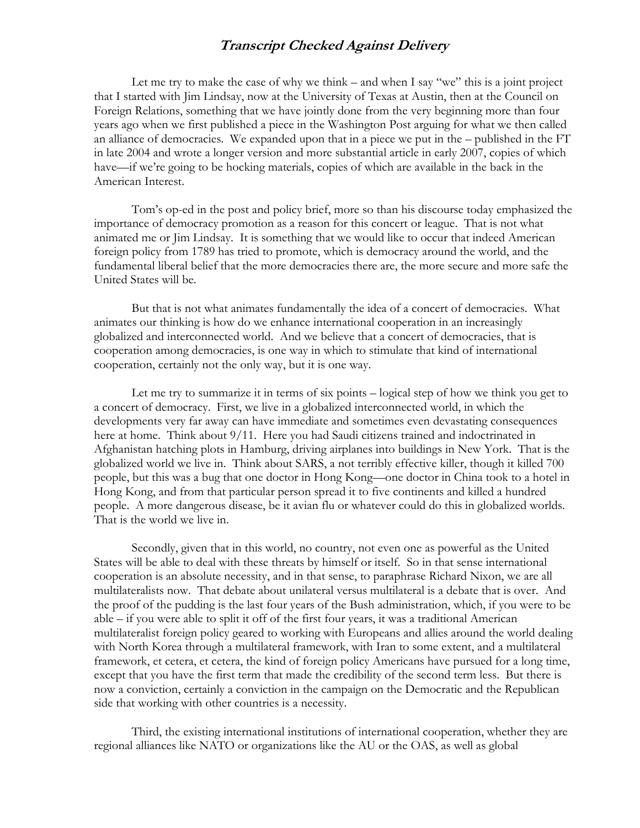Let me try to make the case of why we think – and when I say "we" this is a joint project that I started with Jim Lindsay, now at the University of Texas at Austin, then at the Council on Foreign Relations, something that we have jointly done from the very beginning more than four years ago when we first published a piece in the Washington Post arguing for what we then called an alliance of democracies. We expanded upon that in a piece we put in the – published in the FT in late 2004 and wrote a longer version and more substantial article in early 2007, copies of which have—if we're going to be hocking materials, copies of which are available in the back in the American Interest.

Tom's op-ed in the post and policy brief, more so than his discourse today emphasized the importance of democracy promotion as a reason for this concert or league. That is not what animated me or Jim Lindsay. It is something that we would like to occur that indeed American foreign policy from 1789 has tried to promote, which is democracy around the world, and the fundamental liberal belief that the more democracies there are, the more secure and more safe the United States will be.

But that is not what animates fundamentally the idea of a concert of democracies. What animates our thinking is how do we enhance international cooperation in an increasingly globalized and interconnected world. And we believe that a concert of democracies, that is cooperation among democracies, is one way in which to stimulate that kind of international cooperation, certainly not the only way, but it is one way.

Let me try to summarize it in terms of six points – logical step of how we think you get to a concert of democracy. First, we live in a globalized interconnected world, in which the developments very far away can have immediate and sometimes even devastating consequences here at home. Think about 9/11. Here you had Saudi citizens trained and indoctrinated in Afghanistan hatching plots in Hamburg, driving airplanes into buildings in New York. That is the globalized world we live in. Think about SARS, a not terribly effective killer, though it killed 700 people, but this was a bug that one doctor in Hong Kong—one doctor in China took to a hotel in Hong Kong, and from that particular person spread it to five continents and killed a hundred people. A more dangerous disease, be it avian flu or whatever could do this in globalized worlds. That is the world we live in.

Secondly, given that in this world, no country, not even one as powerful as the United States will be able to deal with these threats by himself or itself. So in that sense international cooperation is an absolute necessity, and in that sense, to paraphrase Richard Nixon, we are all multilateralists now. That debate about unilateral versus multilateral is a debate that is over. And the proof of the pudding is the last four years of the Bush administration, which, if you were to be able – if you were able to split it off of the first four years, it was a traditional American multilateralist foreign policy geared to working with Europeans and allies around the world dealing with North Korea through a multilateral framework, with Iran to some extent, and a multilateral framework, et cetera, et cetera, the kind of foreign policy Americans have pursued for a long time, except that you have the first term that made the credibility of the second term less. But there is now a conviction, certainly a conviction in the campaign on the Democratic and the Republican side that working with other countries is a necessity.

Third, the existing international institutions of international cooperation, whether they are regional alliances like NATO or organizations like the AU or the OAS, as well as global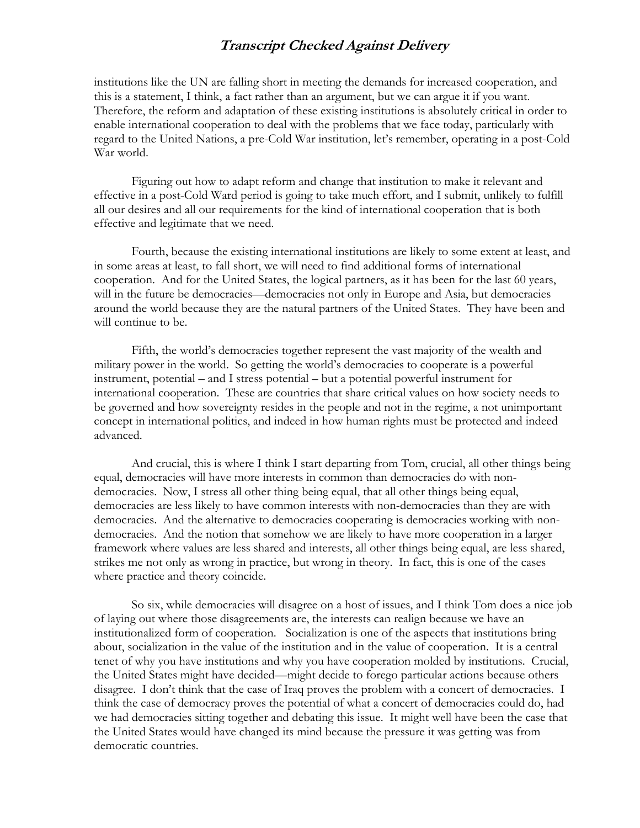institutions like the UN are falling short in meeting the demands for increased cooperation, and this is a statement, I think, a fact rather than an argument, but we can argue it if you want. Therefore, the reform and adaptation of these existing institutions is absolutely critical in order to enable international cooperation to deal with the problems that we face today, particularly with regard to the United Nations, a pre-Cold War institution, let's remember, operating in a post-Cold War world.

Figuring out how to adapt reform and change that institution to make it relevant and effective in a post-Cold Ward period is going to take much effort, and I submit, unlikely to fulfill all our desires and all our requirements for the kind of international cooperation that is both effective and legitimate that we need.

Fourth, because the existing international institutions are likely to some extent at least, and in some areas at least, to fall short, we will need to find additional forms of international cooperation. And for the United States, the logical partners, as it has been for the last 60 years, will in the future be democracies—democracies not only in Europe and Asia, but democracies around the world because they are the natural partners of the United States. They have been and will continue to be.

Fifth, the world's democracies together represent the vast majority of the wealth and military power in the world. So getting the world's democracies to cooperate is a powerful instrument, potential – and I stress potential – but a potential powerful instrument for international cooperation. These are countries that share critical values on how society needs to be governed and how sovereignty resides in the people and not in the regime, a not unimportant concept in international politics, and indeed in how human rights must be protected and indeed advanced.

And crucial, this is where I think I start departing from Tom, crucial, all other things being equal, democracies will have more interests in common than democracies do with nondemocracies. Now, I stress all other thing being equal, that all other things being equal, democracies are less likely to have common interests with non-democracies than they are with democracies. And the alternative to democracies cooperating is democracies working with nondemocracies. And the notion that somehow we are likely to have more cooperation in a larger framework where values are less shared and interests, all other things being equal, are less shared, strikes me not only as wrong in practice, but wrong in theory. In fact, this is one of the cases where practice and theory coincide.

So six, while democracies will disagree on a host of issues, and I think Tom does a nice job of laying out where those disagreements are, the interests can realign because we have an institutionalized form of cooperation. Socialization is one of the aspects that institutions bring about, socialization in the value of the institution and in the value of cooperation. It is a central tenet of why you have institutions and why you have cooperation molded by institutions. Crucial, the United States might have decided—might decide to forego particular actions because others disagree. I don't think that the case of Iraq proves the problem with a concert of democracies. I think the case of democracy proves the potential of what a concert of democracies could do, had we had democracies sitting together and debating this issue. It might well have been the case that the United States would have changed its mind because the pressure it was getting was from democratic countries.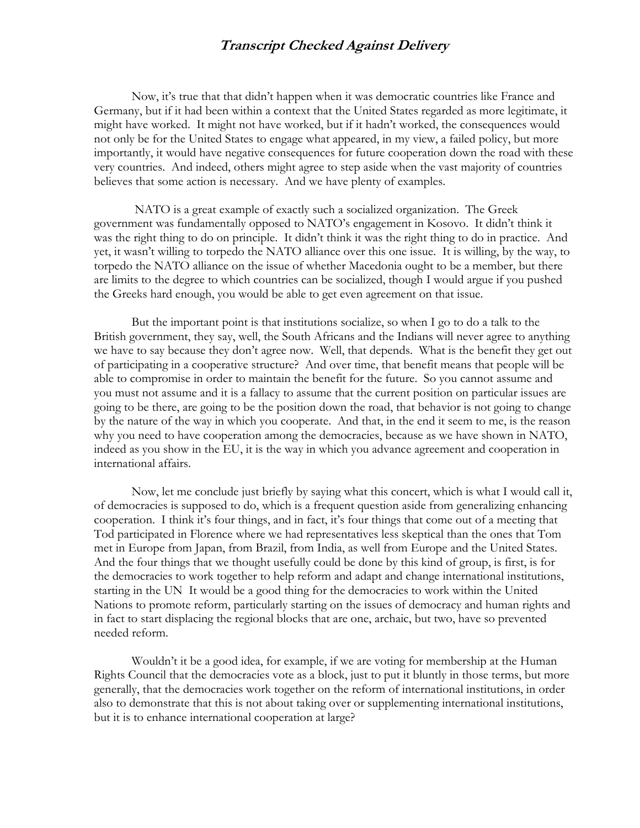Now, it's true that that didn't happen when it was democratic countries like France and Germany, but if it had been within a context that the United States regarded as more legitimate, it might have worked. It might not have worked, but if it hadn't worked, the consequences would not only be for the United States to engage what appeared, in my view, a failed policy, but more importantly, it would have negative consequences for future cooperation down the road with these very countries. And indeed, others might agree to step aside when the vast majority of countries believes that some action is necessary. And we have plenty of examples.

 NATO is a great example of exactly such a socialized organization. The Greek government was fundamentally opposed to NATO's engagement in Kosovo. It didn't think it was the right thing to do on principle. It didn't think it was the right thing to do in practice. And yet, it wasn't willing to torpedo the NATO alliance over this one issue. It is willing, by the way, to torpedo the NATO alliance on the issue of whether Macedonia ought to be a member, but there are limits to the degree to which countries can be socialized, though I would argue if you pushed the Greeks hard enough, you would be able to get even agreement on that issue.

But the important point is that institutions socialize, so when I go to do a talk to the British government, they say, well, the South Africans and the Indians will never agree to anything we have to say because they don't agree now. Well, that depends. What is the benefit they get out of participating in a cooperative structure? And over time, that benefit means that people will be able to compromise in order to maintain the benefit for the future. So you cannot assume and you must not assume and it is a fallacy to assume that the current position on particular issues are going to be there, are going to be the position down the road, that behavior is not going to change by the nature of the way in which you cooperate. And that, in the end it seem to me, is the reason why you need to have cooperation among the democracies, because as we have shown in NATO, indeed as you show in the EU, it is the way in which you advance agreement and cooperation in international affairs.

Now, let me conclude just briefly by saying what this concert, which is what I would call it, of democracies is supposed to do, which is a frequent question aside from generalizing enhancing cooperation. I think it's four things, and in fact, it's four things that come out of a meeting that Tod participated in Florence where we had representatives less skeptical than the ones that Tom met in Europe from Japan, from Brazil, from India, as well from Europe and the United States. And the four things that we thought usefully could be done by this kind of group, is first, is for the democracies to work together to help reform and adapt and change international institutions, starting in the UN It would be a good thing for the democracies to work within the United Nations to promote reform, particularly starting on the issues of democracy and human rights and in fact to start displacing the regional blocks that are one, archaic, but two, have so prevented needed reform.

Wouldn't it be a good idea, for example, if we are voting for membership at the Human Rights Council that the democracies vote as a block, just to put it bluntly in those terms, but more generally, that the democracies work together on the reform of international institutions, in order also to demonstrate that this is not about taking over or supplementing international institutions, but it is to enhance international cooperation at large?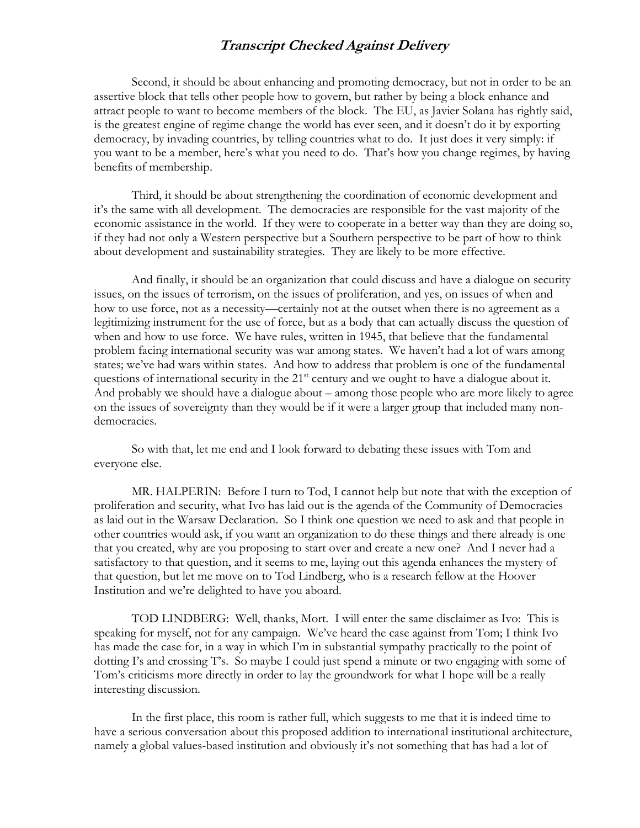Second, it should be about enhancing and promoting democracy, but not in order to be an assertive block that tells other people how to govern, but rather by being a block enhance and attract people to want to become members of the block. The EU, as Javier Solana has rightly said, is the greatest engine of regime change the world has ever seen, and it doesn't do it by exporting democracy, by invading countries, by telling countries what to do. It just does it very simply: if you want to be a member, here's what you need to do. That's how you change regimes, by having benefits of membership.

Third, it should be about strengthening the coordination of economic development and it's the same with all development. The democracies are responsible for the vast majority of the economic assistance in the world. If they were to cooperate in a better way than they are doing so, if they had not only a Western perspective but a Southern perspective to be part of how to think about development and sustainability strategies. They are likely to be more effective.

And finally, it should be an organization that could discuss and have a dialogue on security issues, on the issues of terrorism, on the issues of proliferation, and yes, on issues of when and how to use force, not as a necessity—certainly not at the outset when there is no agreement as a legitimizing instrument for the use of force, but as a body that can actually discuss the question of when and how to use force. We have rules, written in 1945, that believe that the fundamental problem facing international security was war among states. We haven't had a lot of wars among states; we've had wars within states. And how to address that problem is one of the fundamental questions of international security in the  $21<sup>st</sup>$  century and we ought to have a dialogue about it. And probably we should have a dialogue about – among those people who are more likely to agree on the issues of sovereignty than they would be if it were a larger group that included many nondemocracies.

So with that, let me end and I look forward to debating these issues with Tom and everyone else.

MR. HALPERIN: Before I turn to Tod, I cannot help but note that with the exception of proliferation and security, what Ivo has laid out is the agenda of the Community of Democracies as laid out in the Warsaw Declaration. So I think one question we need to ask and that people in other countries would ask, if you want an organization to do these things and there already is one that you created, why are you proposing to start over and create a new one? And I never had a satisfactory to that question, and it seems to me, laying out this agenda enhances the mystery of that question, but let me move on to Tod Lindberg, who is a research fellow at the Hoover Institution and we're delighted to have you aboard.

TOD LINDBERG: Well, thanks, Mort. I will enter the same disclaimer as Ivo: This is speaking for myself, not for any campaign. We've heard the case against from Tom; I think Ivo has made the case for, in a way in which I'm in substantial sympathy practically to the point of dotting I's and crossing T's. So maybe I could just spend a minute or two engaging with some of Tom's criticisms more directly in order to lay the groundwork for what I hope will be a really interesting discussion.

In the first place, this room is rather full, which suggests to me that it is indeed time to have a serious conversation about this proposed addition to international institutional architecture, namely a global values-based institution and obviously it's not something that has had a lot of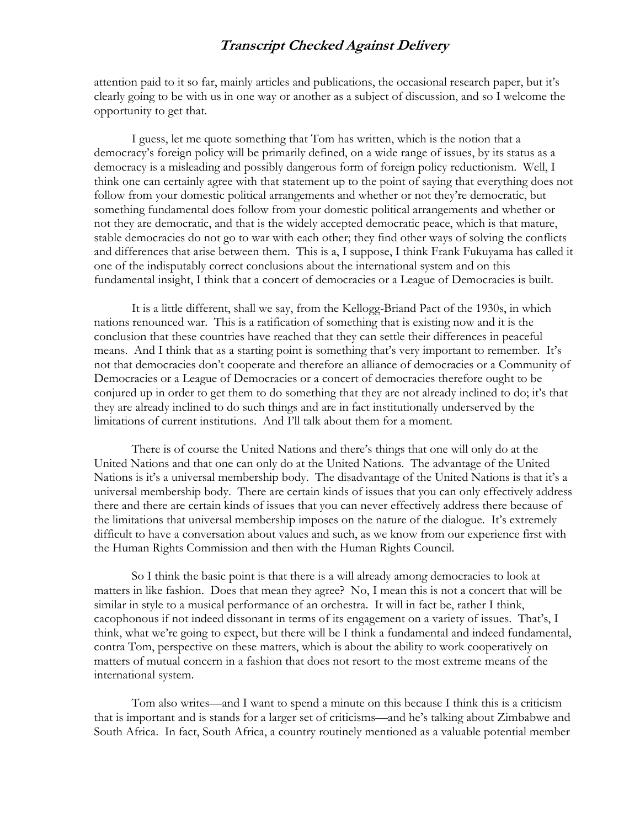attention paid to it so far, mainly articles and publications, the occasional research paper, but it's clearly going to be with us in one way or another as a subject of discussion, and so I welcome the opportunity to get that.

I guess, let me quote something that Tom has written, which is the notion that a democracy's foreign policy will be primarily defined, on a wide range of issues, by its status as a democracy is a misleading and possibly dangerous form of foreign policy reductionism. Well, I think one can certainly agree with that statement up to the point of saying that everything does not follow from your domestic political arrangements and whether or not they're democratic, but something fundamental does follow from your domestic political arrangements and whether or not they are democratic, and that is the widely accepted democratic peace, which is that mature, stable democracies do not go to war with each other; they find other ways of solving the conflicts and differences that arise between them. This is a, I suppose, I think Frank Fukuyama has called it one of the indisputably correct conclusions about the international system and on this fundamental insight, I think that a concert of democracies or a League of Democracies is built.

It is a little different, shall we say, from the Kellogg-Briand Pact of the 1930s, in which nations renounced war. This is a ratification of something that is existing now and it is the conclusion that these countries have reached that they can settle their differences in peaceful means. And I think that as a starting point is something that's very important to remember. It's not that democracies don't cooperate and therefore an alliance of democracies or a Community of Democracies or a League of Democracies or a concert of democracies therefore ought to be conjured up in order to get them to do something that they are not already inclined to do; it's that they are already inclined to do such things and are in fact institutionally underserved by the limitations of current institutions. And I'll talk about them for a moment.

There is of course the United Nations and there's things that one will only do at the United Nations and that one can only do at the United Nations. The advantage of the United Nations is it's a universal membership body. The disadvantage of the United Nations is that it's a universal membership body. There are certain kinds of issues that you can only effectively address there and there are certain kinds of issues that you can never effectively address there because of the limitations that universal membership imposes on the nature of the dialogue. It's extremely difficult to have a conversation about values and such, as we know from our experience first with the Human Rights Commission and then with the Human Rights Council.

So I think the basic point is that there is a will already among democracies to look at matters in like fashion. Does that mean they agree? No, I mean this is not a concert that will be similar in style to a musical performance of an orchestra. It will in fact be, rather I think, cacophonous if not indeed dissonant in terms of its engagement on a variety of issues. That's, I think, what we're going to expect, but there will be I think a fundamental and indeed fundamental, contra Tom, perspective on these matters, which is about the ability to work cooperatively on matters of mutual concern in a fashion that does not resort to the most extreme means of the international system.

Tom also writes—and I want to spend a minute on this because I think this is a criticism that is important and is stands for a larger set of criticisms—and he's talking about Zimbabwe and South Africa. In fact, South Africa, a country routinely mentioned as a valuable potential member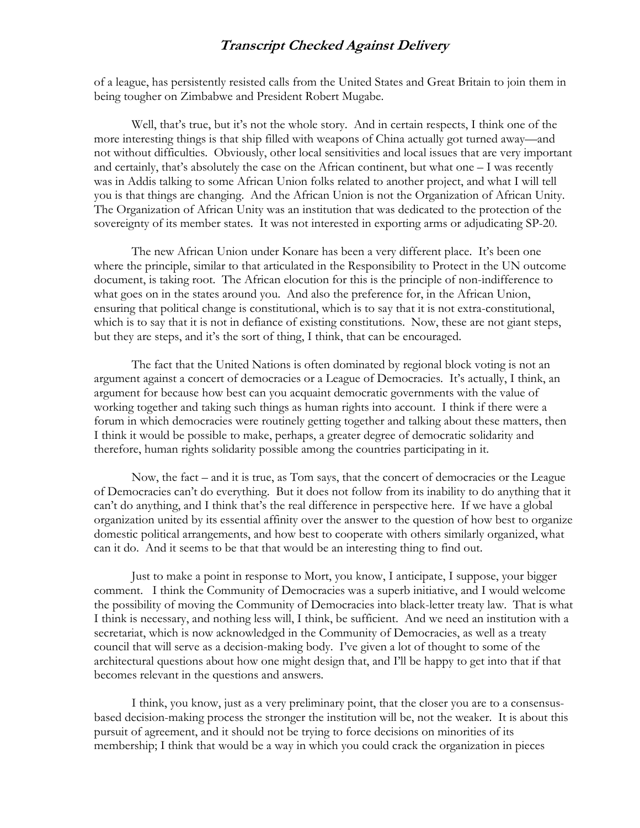of a league, has persistently resisted calls from the United States and Great Britain to join them in being tougher on Zimbabwe and President Robert Mugabe.

Well, that's true, but it's not the whole story. And in certain respects, I think one of the more interesting things is that ship filled with weapons of China actually got turned away—and not without difficulties. Obviously, other local sensitivities and local issues that are very important and certainly, that's absolutely the case on the African continent, but what one – I was recently was in Addis talking to some African Union folks related to another project, and what I will tell you is that things are changing. And the African Union is not the Organization of African Unity. The Organization of African Unity was an institution that was dedicated to the protection of the sovereignty of its member states. It was not interested in exporting arms or adjudicating SP-20.

The new African Union under Konare has been a very different place. It's been one where the principle, similar to that articulated in the Responsibility to Protect in the UN outcome document, is taking root. The African elocution for this is the principle of non-indifference to what goes on in the states around you. And also the preference for, in the African Union, ensuring that political change is constitutional, which is to say that it is not extra-constitutional, which is to say that it is not in defiance of existing constitutions. Now, these are not giant steps, but they are steps, and it's the sort of thing, I think, that can be encouraged.

The fact that the United Nations is often dominated by regional block voting is not an argument against a concert of democracies or a League of Democracies. It's actually, I think, an argument for because how best can you acquaint democratic governments with the value of working together and taking such things as human rights into account. I think if there were a forum in which democracies were routinely getting together and talking about these matters, then I think it would be possible to make, perhaps, a greater degree of democratic solidarity and therefore, human rights solidarity possible among the countries participating in it.

Now, the fact – and it is true, as Tom says, that the concert of democracies or the League of Democracies can't do everything. But it does not follow from its inability to do anything that it can't do anything, and I think that's the real difference in perspective here. If we have a global organization united by its essential affinity over the answer to the question of how best to organize domestic political arrangements, and how best to cooperate with others similarly organized, what can it do. And it seems to be that that would be an interesting thing to find out.

Just to make a point in response to Mort, you know, I anticipate, I suppose, your bigger comment. I think the Community of Democracies was a superb initiative, and I would welcome the possibility of moving the Community of Democracies into black-letter treaty law. That is what I think is necessary, and nothing less will, I think, be sufficient. And we need an institution with a secretariat, which is now acknowledged in the Community of Democracies, as well as a treaty council that will serve as a decision-making body. I've given a lot of thought to some of the architectural questions about how one might design that, and I'll be happy to get into that if that becomes relevant in the questions and answers.

I think, you know, just as a very preliminary point, that the closer you are to a consensusbased decision-making process the stronger the institution will be, not the weaker. It is about this pursuit of agreement, and it should not be trying to force decisions on minorities of its membership; I think that would be a way in which you could crack the organization in pieces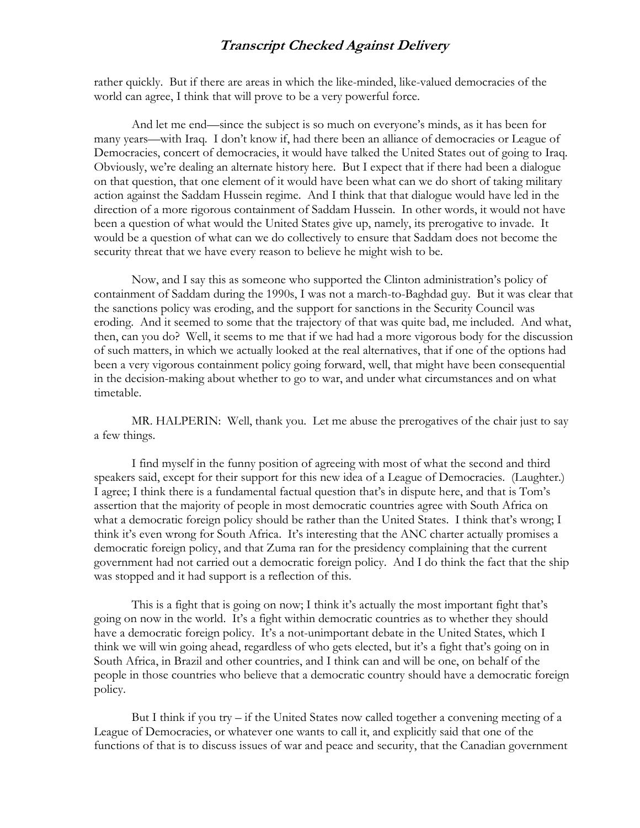rather quickly. But if there are areas in which the like-minded, like-valued democracies of the world can agree, I think that will prove to be a very powerful force.

And let me end—since the subject is so much on everyone's minds, as it has been for many years—with Iraq. I don't know if, had there been an alliance of democracies or League of Democracies, concert of democracies, it would have talked the United States out of going to Iraq. Obviously, we're dealing an alternate history here. But I expect that if there had been a dialogue on that question, that one element of it would have been what can we do short of taking military action against the Saddam Hussein regime. And I think that that dialogue would have led in the direction of a more rigorous containment of Saddam Hussein. In other words, it would not have been a question of what would the United States give up, namely, its prerogative to invade. It would be a question of what can we do collectively to ensure that Saddam does not become the security threat that we have every reason to believe he might wish to be.

Now, and I say this as someone who supported the Clinton administration's policy of containment of Saddam during the 1990s, I was not a march-to-Baghdad guy. But it was clear that the sanctions policy was eroding, and the support for sanctions in the Security Council was eroding. And it seemed to some that the trajectory of that was quite bad, me included. And what, then, can you do? Well, it seems to me that if we had had a more vigorous body for the discussion of such matters, in which we actually looked at the real alternatives, that if one of the options had been a very vigorous containment policy going forward, well, that might have been consequential in the decision-making about whether to go to war, and under what circumstances and on what timetable.

MR. HALPERIN: Well, thank you. Let me abuse the prerogatives of the chair just to say a few things.

I find myself in the funny position of agreeing with most of what the second and third speakers said, except for their support for this new idea of a League of Democracies. (Laughter.) I agree; I think there is a fundamental factual question that's in dispute here, and that is Tom's assertion that the majority of people in most democratic countries agree with South Africa on what a democratic foreign policy should be rather than the United States. I think that's wrong; I think it's even wrong for South Africa. It's interesting that the ANC charter actually promises a democratic foreign policy, and that Zuma ran for the presidency complaining that the current government had not carried out a democratic foreign policy. And I do think the fact that the ship was stopped and it had support is a reflection of this.

This is a fight that is going on now; I think it's actually the most important fight that's going on now in the world. It's a fight within democratic countries as to whether they should have a democratic foreign policy. It's a not-unimportant debate in the United States, which I think we will win going ahead, regardless of who gets elected, but it's a fight that's going on in South Africa, in Brazil and other countries, and I think can and will be one, on behalf of the people in those countries who believe that a democratic country should have a democratic foreign policy.

But I think if you try  $-i$  f the United States now called together a convening meeting of a League of Democracies, or whatever one wants to call it, and explicitly said that one of the functions of that is to discuss issues of war and peace and security, that the Canadian government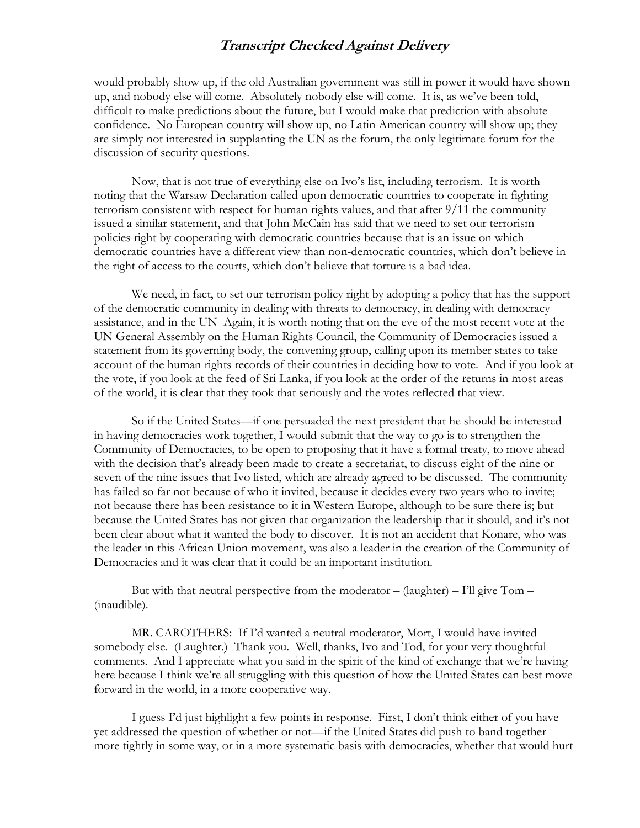would probably show up, if the old Australian government was still in power it would have shown up, and nobody else will come. Absolutely nobody else will come. It is, as we've been told, difficult to make predictions about the future, but I would make that prediction with absolute confidence. No European country will show up, no Latin American country will show up; they are simply not interested in supplanting the UN as the forum, the only legitimate forum for the discussion of security questions.

Now, that is not true of everything else on Ivo's list, including terrorism. It is worth noting that the Warsaw Declaration called upon democratic countries to cooperate in fighting terrorism consistent with respect for human rights values, and that after 9/11 the community issued a similar statement, and that John McCain has said that we need to set our terrorism policies right by cooperating with democratic countries because that is an issue on which democratic countries have a different view than non-democratic countries, which don't believe in the right of access to the courts, which don't believe that torture is a bad idea.

We need, in fact, to set our terrorism policy right by adopting a policy that has the support of the democratic community in dealing with threats to democracy, in dealing with democracy assistance, and in the UN Again, it is worth noting that on the eve of the most recent vote at the UN General Assembly on the Human Rights Council, the Community of Democracies issued a statement from its governing body, the convening group, calling upon its member states to take account of the human rights records of their countries in deciding how to vote. And if you look at the vote, if you look at the feed of Sri Lanka, if you look at the order of the returns in most areas of the world, it is clear that they took that seriously and the votes reflected that view.

So if the United States—if one persuaded the next president that he should be interested in having democracies work together, I would submit that the way to go is to strengthen the Community of Democracies, to be open to proposing that it have a formal treaty, to move ahead with the decision that's already been made to create a secretariat, to discuss eight of the nine or seven of the nine issues that Ivo listed, which are already agreed to be discussed. The community has failed so far not because of who it invited, because it decides every two years who to invite; not because there has been resistance to it in Western Europe, although to be sure there is; but because the United States has not given that organization the leadership that it should, and it's not been clear about what it wanted the body to discover. It is not an accident that Konare, who was the leader in this African Union movement, was also a leader in the creation of the Community of Democracies and it was clear that it could be an important institution.

But with that neutral perspective from the moderator – (laughter) – I'll give  $Tom -$ (inaudible).

MR. CAROTHERS: If I'd wanted a neutral moderator, Mort, I would have invited somebody else. (Laughter.) Thank you. Well, thanks, Ivo and Tod, for your very thoughtful comments. And I appreciate what you said in the spirit of the kind of exchange that we're having here because I think we're all struggling with this question of how the United States can best move forward in the world, in a more cooperative way.

I guess I'd just highlight a few points in response. First, I don't think either of you have yet addressed the question of whether or not—if the United States did push to band together more tightly in some way, or in a more systematic basis with democracies, whether that would hurt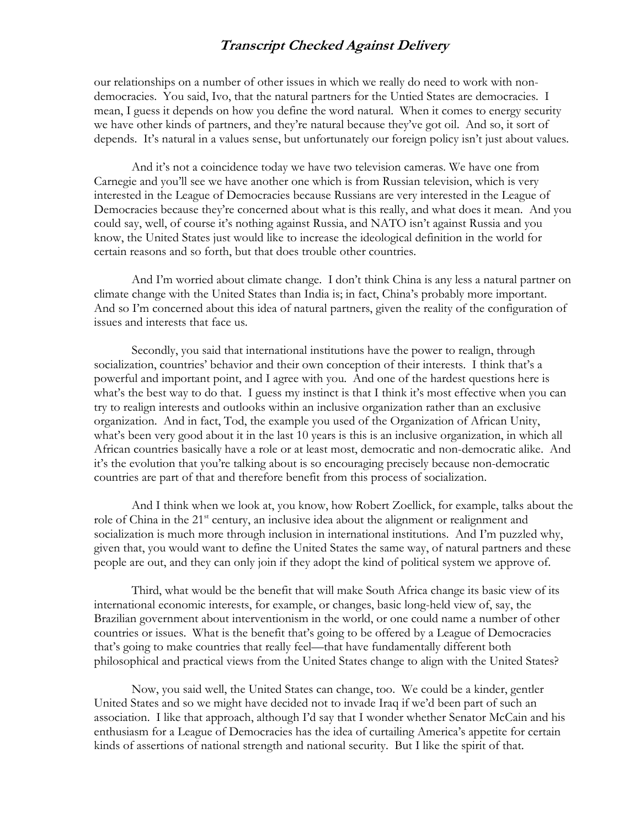our relationships on a number of other issues in which we really do need to work with nondemocracies. You said, Ivo, that the natural partners for the Untied States are democracies. I mean, I guess it depends on how you define the word natural. When it comes to energy security we have other kinds of partners, and they're natural because they've got oil. And so, it sort of depends. It's natural in a values sense, but unfortunately our foreign policy isn't just about values.

And it's not a coincidence today we have two television cameras. We have one from Carnegie and you'll see we have another one which is from Russian television, which is very interested in the League of Democracies because Russians are very interested in the League of Democracies because they're concerned about what is this really, and what does it mean. And you could say, well, of course it's nothing against Russia, and NATO isn't against Russia and you know, the United States just would like to increase the ideological definition in the world for certain reasons and so forth, but that does trouble other countries.

And I'm worried about climate change. I don't think China is any less a natural partner on climate change with the United States than India is; in fact, China's probably more important. And so I'm concerned about this idea of natural partners, given the reality of the configuration of issues and interests that face us.

Secondly, you said that international institutions have the power to realign, through socialization, countries' behavior and their own conception of their interests. I think that's a powerful and important point, and I agree with you. And one of the hardest questions here is what's the best way to do that. I guess my instinct is that I think it's most effective when you can try to realign interests and outlooks within an inclusive organization rather than an exclusive organization. And in fact, Tod, the example you used of the Organization of African Unity, what's been very good about it in the last 10 years is this is an inclusive organization, in which all African countries basically have a role or at least most, democratic and non-democratic alike. And it's the evolution that you're talking about is so encouraging precisely because non-democratic countries are part of that and therefore benefit from this process of socialization.

And I think when we look at, you know, how Robert Zoellick, for example, talks about the role of China in the 21<sup>st</sup> century, an inclusive idea about the alignment or realignment and socialization is much more through inclusion in international institutions. And I'm puzzled why, given that, you would want to define the United States the same way, of natural partners and these people are out, and they can only join if they adopt the kind of political system we approve of.

Third, what would be the benefit that will make South Africa change its basic view of its international economic interests, for example, or changes, basic long-held view of, say, the Brazilian government about interventionism in the world, or one could name a number of other countries or issues. What is the benefit that's going to be offered by a League of Democracies that's going to make countries that really feel—that have fundamentally different both philosophical and practical views from the United States change to align with the United States?

Now, you said well, the United States can change, too. We could be a kinder, gentler United States and so we might have decided not to invade Iraq if we'd been part of such an association. I like that approach, although I'd say that I wonder whether Senator McCain and his enthusiasm for a League of Democracies has the idea of curtailing America's appetite for certain kinds of assertions of national strength and national security. But I like the spirit of that.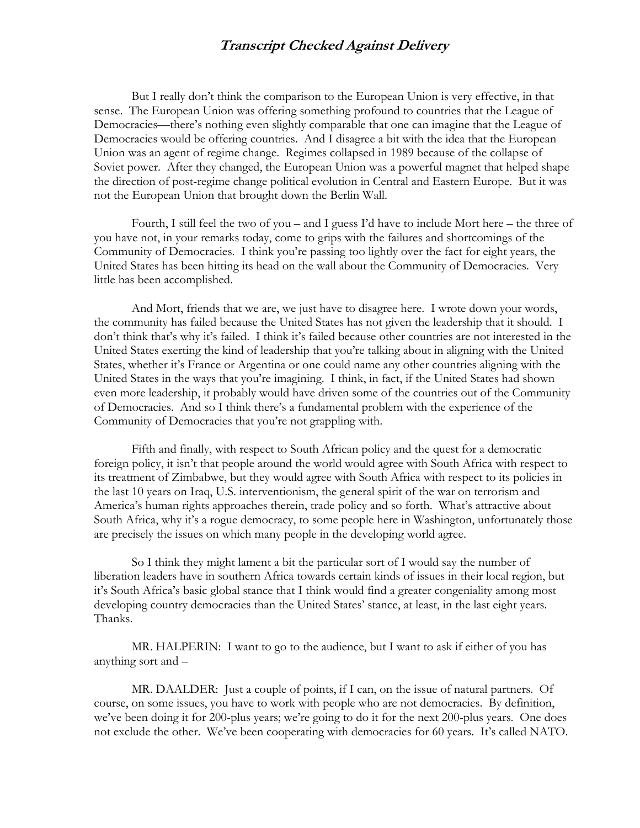But I really don't think the comparison to the European Union is very effective, in that sense. The European Union was offering something profound to countries that the League of Democracies—there's nothing even slightly comparable that one can imagine that the League of Democracies would be offering countries. And I disagree a bit with the idea that the European Union was an agent of regime change. Regimes collapsed in 1989 because of the collapse of Soviet power. After they changed, the European Union was a powerful magnet that helped shape the direction of post-regime change political evolution in Central and Eastern Europe. But it was not the European Union that brought down the Berlin Wall.

Fourth, I still feel the two of you – and I guess I'd have to include Mort here – the three of you have not, in your remarks today, come to grips with the failures and shortcomings of the Community of Democracies. I think you're passing too lightly over the fact for eight years, the United States has been hitting its head on the wall about the Community of Democracies. Very little has been accomplished.

And Mort, friends that we are, we just have to disagree here. I wrote down your words, the community has failed because the United States has not given the leadership that it should. I don't think that's why it's failed. I think it's failed because other countries are not interested in the United States exerting the kind of leadership that you're talking about in aligning with the United States, whether it's France or Argentina or one could name any other countries aligning with the United States in the ways that you're imagining. I think, in fact, if the United States had shown even more leadership, it probably would have driven some of the countries out of the Community of Democracies. And so I think there's a fundamental problem with the experience of the Community of Democracies that you're not grappling with.

Fifth and finally, with respect to South African policy and the quest for a democratic foreign policy, it isn't that people around the world would agree with South Africa with respect to its treatment of Zimbabwe, but they would agree with South Africa with respect to its policies in the last 10 years on Iraq, U.S. interventionism, the general spirit of the war on terrorism and America's human rights approaches therein, trade policy and so forth. What's attractive about South Africa, why it's a rogue democracy, to some people here in Washington, unfortunately those are precisely the issues on which many people in the developing world agree.

So I think they might lament a bit the particular sort of I would say the number of liberation leaders have in southern Africa towards certain kinds of issues in their local region, but it's South Africa's basic global stance that I think would find a greater congeniality among most developing country democracies than the United States' stance, at least, in the last eight years. Thanks.

MR. HALPERIN: I want to go to the audience, but I want to ask if either of you has anything sort and –

MR. DAALDER: Just a couple of points, if I can, on the issue of natural partners. Of course, on some issues, you have to work with people who are not democracies. By definition, we've been doing it for 200-plus years; we're going to do it for the next 200-plus years. One does not exclude the other. We've been cooperating with democracies for 60 years. It's called NATO.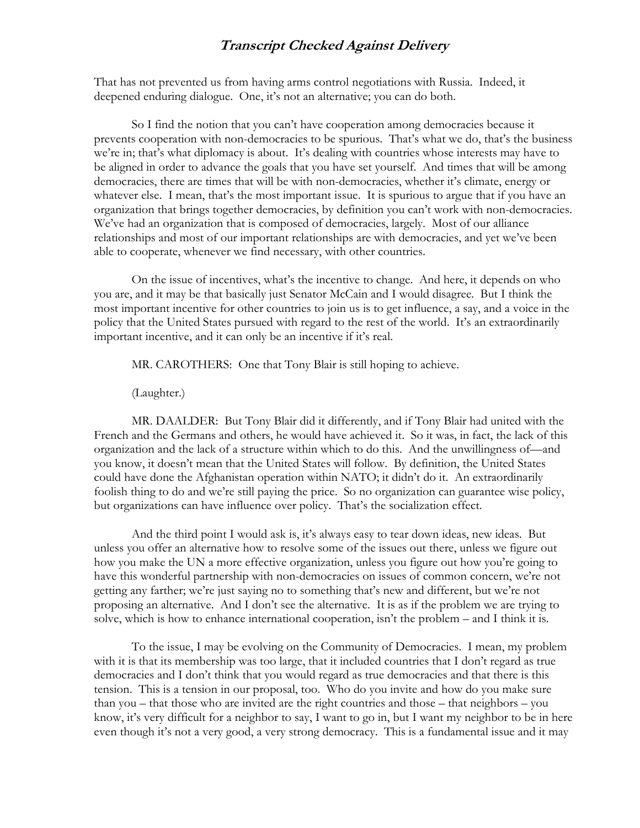That has not prevented us from having arms control negotiations with Russia. Indeed, it deepened enduring dialogue. One, it's not an alternative; you can do both.

So I find the notion that you can't have cooperation among democracies because it prevents cooperation with non-democracies to be spurious. That's what we do, that's the business we're in; that's what diplomacy is about. It's dealing with countries whose interests may have to be aligned in order to advance the goals that you have set yourself. And times that will be among democracies, there are times that will be with non-democracies, whether it's climate, energy or whatever else. I mean, that's the most important issue. It is spurious to argue that if you have an organization that brings together democracies, by definition you can't work with non-democracies. We've had an organization that is composed of democracies, largely. Most of our alliance relationships and most of our important relationships are with democracies, and yet we've been able to cooperate, whenever we find necessary, with other countries.

On the issue of incentives, what's the incentive to change. And here, it depends on who you are, and it may be that basically just Senator McCain and I would disagree. But I think the most important incentive for other countries to join us is to get influence, a say, and a voice in the policy that the United States pursued with regard to the rest of the world. It's an extraordinarily important incentive, and it can only be an incentive if it's real.

MR. CAROTHERS: One that Tony Blair is still hoping to achieve.

(Laughter.)

MR. DAALDER: But Tony Blair did it differently, and if Tony Blair had united with the French and the Germans and others, he would have achieved it. So it was, in fact, the lack of this organization and the lack of a structure within which to do this. And the unwillingness of—and you know, it doesn't mean that the United States will follow. By definition, the United States could have done the Afghanistan operation within NATO; it didn't do it. An extraordinarily foolish thing to do and we're still paying the price. So no organization can guarantee wise policy, but organizations can have influence over policy. That's the socialization effect.

And the third point I would ask is, it's always easy to tear down ideas, new ideas. But unless you offer an alternative how to resolve some of the issues out there, unless we figure out how you make the UN a more effective organization, unless you figure out how you're going to have this wonderful partnership with non-democracies on issues of common concern, we're not getting any farther; we're just saying no to something that's new and different, but we're not proposing an alternative. And I don't see the alternative. It is as if the problem we are trying to solve, which is how to enhance international cooperation, isn't the problem – and I think it is.

To the issue, I may be evolving on the Community of Democracies. I mean, my problem with it is that its membership was too large, that it included countries that I don't regard as true democracies and I don't think that you would regard as true democracies and that there is this tension. This is a tension in our proposal, too. Who do you invite and how do you make sure than you – that those who are invited are the right countries and those – that neighbors – you know, it's very difficult for a neighbor to say, I want to go in, but I want my neighbor to be in here even though it's not a very good, a very strong democracy. This is a fundamental issue and it may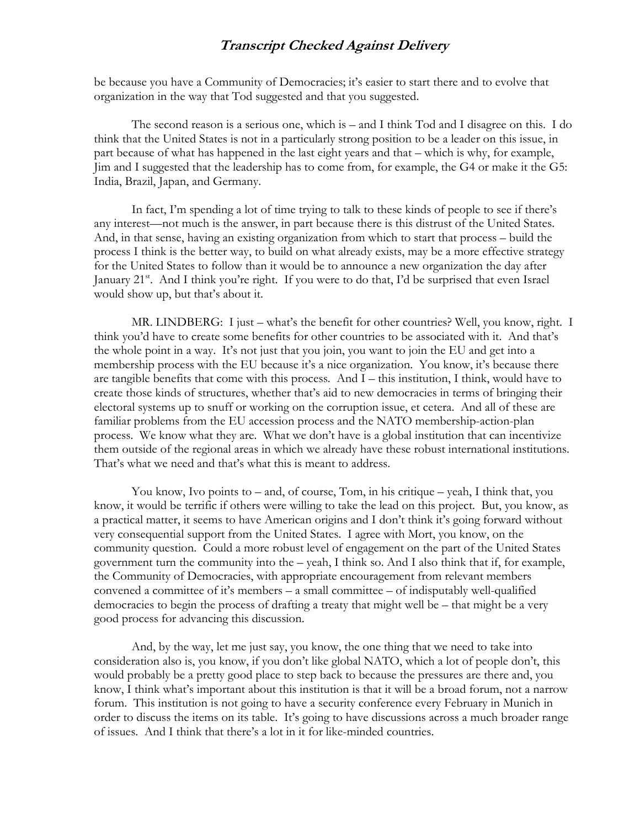be because you have a Community of Democracies; it's easier to start there and to evolve that organization in the way that Tod suggested and that you suggested.

The second reason is a serious one, which is – and I think Tod and I disagree on this. I do think that the United States is not in a particularly strong position to be a leader on this issue, in part because of what has happened in the last eight years and that – which is why, for example, Jim and I suggested that the leadership has to come from, for example, the G4 or make it the G5: India, Brazil, Japan, and Germany.

In fact, I'm spending a lot of time trying to talk to these kinds of people to see if there's any interest—not much is the answer, in part because there is this distrust of the United States. And, in that sense, having an existing organization from which to start that process – build the process I think is the better way, to build on what already exists, may be a more effective strategy for the United States to follow than it would be to announce a new organization the day after January 21<sup>st</sup>. And I think you're right. If you were to do that, I'd be surprised that even Israel would show up, but that's about it.

MR. LINDBERG: I just – what's the benefit for other countries? Well, you know, right. I think you'd have to create some benefits for other countries to be associated with it. And that's the whole point in a way. It's not just that you join, you want to join the EU and get into a membership process with the EU because it's a nice organization. You know, it's because there are tangible benefits that come with this process. And I – this institution, I think, would have to create those kinds of structures, whether that's aid to new democracies in terms of bringing their electoral systems up to snuff or working on the corruption issue, et cetera. And all of these are familiar problems from the EU accession process and the NATO membership-action-plan process. We know what they are. What we don't have is a global institution that can incentivize them outside of the regional areas in which we already have these robust international institutions. That's what we need and that's what this is meant to address.

You know, Ivo points to – and, of course, Tom, in his critique – yeah, I think that, you know, it would be terrific if others were willing to take the lead on this project. But, you know, as a practical matter, it seems to have American origins and I don't think it's going forward without very consequential support from the United States. I agree with Mort, you know, on the community question. Could a more robust level of engagement on the part of the United States government turn the community into the – yeah, I think so. And I also think that if, for example, the Community of Democracies, with appropriate encouragement from relevant members convened a committee of it's members – a small committee – of indisputably well-qualified democracies to begin the process of drafting a treaty that might well be – that might be a very good process for advancing this discussion.

And, by the way, let me just say, you know, the one thing that we need to take into consideration also is, you know, if you don't like global NATO, which a lot of people don't, this would probably be a pretty good place to step back to because the pressures are there and, you know, I think what's important about this institution is that it will be a broad forum, not a narrow forum. This institution is not going to have a security conference every February in Munich in order to discuss the items on its table. It's going to have discussions across a much broader range of issues. And I think that there's a lot in it for like-minded countries.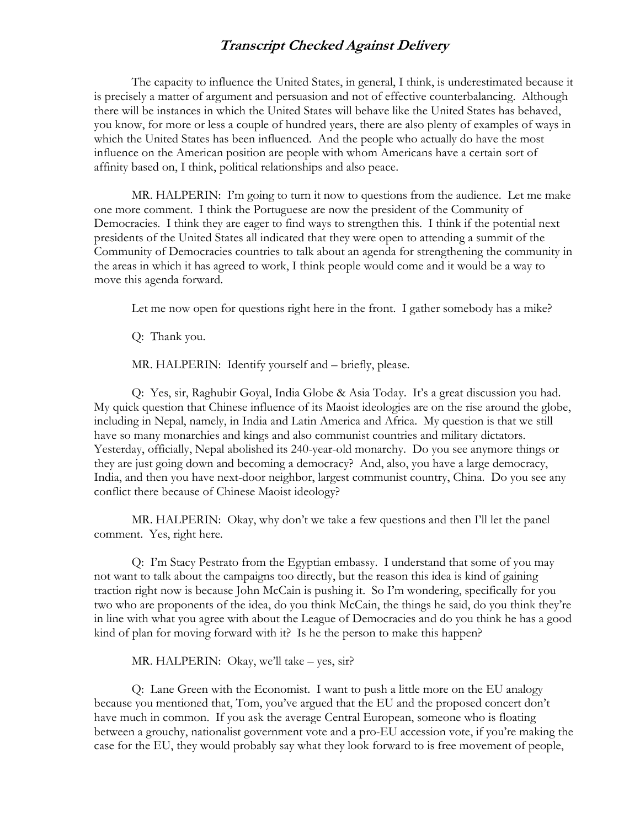The capacity to influence the United States, in general, I think, is underestimated because it is precisely a matter of argument and persuasion and not of effective counterbalancing. Although there will be instances in which the United States will behave like the United States has behaved, you know, for more or less a couple of hundred years, there are also plenty of examples of ways in which the United States has been influenced. And the people who actually do have the most influence on the American position are people with whom Americans have a certain sort of affinity based on, I think, political relationships and also peace.

MR. HALPERIN: I'm going to turn it now to questions from the audience. Let me make one more comment. I think the Portuguese are now the president of the Community of Democracies. I think they are eager to find ways to strengthen this. I think if the potential next presidents of the United States all indicated that they were open to attending a summit of the Community of Democracies countries to talk about an agenda for strengthening the community in the areas in which it has agreed to work, I think people would come and it would be a way to move this agenda forward.

Let me now open for questions right here in the front. I gather somebody has a mike?

Q: Thank you.

MR. HALPERIN: Identify yourself and – briefly, please.

Q: Yes, sir, Raghubir Goyal, India Globe & Asia Today. It's a great discussion you had. My quick question that Chinese influence of its Maoist ideologies are on the rise around the globe, including in Nepal, namely, in India and Latin America and Africa. My question is that we still have so many monarchies and kings and also communist countries and military dictators. Yesterday, officially, Nepal abolished its 240-year-old monarchy. Do you see anymore things or they are just going down and becoming a democracy? And, also, you have a large democracy, India, and then you have next-door neighbor, largest communist country, China. Do you see any conflict there because of Chinese Maoist ideology?

MR. HALPERIN: Okay, why don't we take a few questions and then I'll let the panel comment. Yes, right here.

Q: I'm Stacy Pestrato from the Egyptian embassy. I understand that some of you may not want to talk about the campaigns too directly, but the reason this idea is kind of gaining traction right now is because John McCain is pushing it. So I'm wondering, specifically for you two who are proponents of the idea, do you think McCain, the things he said, do you think they're in line with what you agree with about the League of Democracies and do you think he has a good kind of plan for moving forward with it? Is he the person to make this happen?

MR. HALPERIN: Okay, we'll take – yes, sir?

Q: Lane Green with the Economist. I want to push a little more on the EU analogy because you mentioned that, Tom, you've argued that the EU and the proposed concert don't have much in common. If you ask the average Central European, someone who is floating between a grouchy, nationalist government vote and a pro-EU accession vote, if you're making the case for the EU, they would probably say what they look forward to is free movement of people,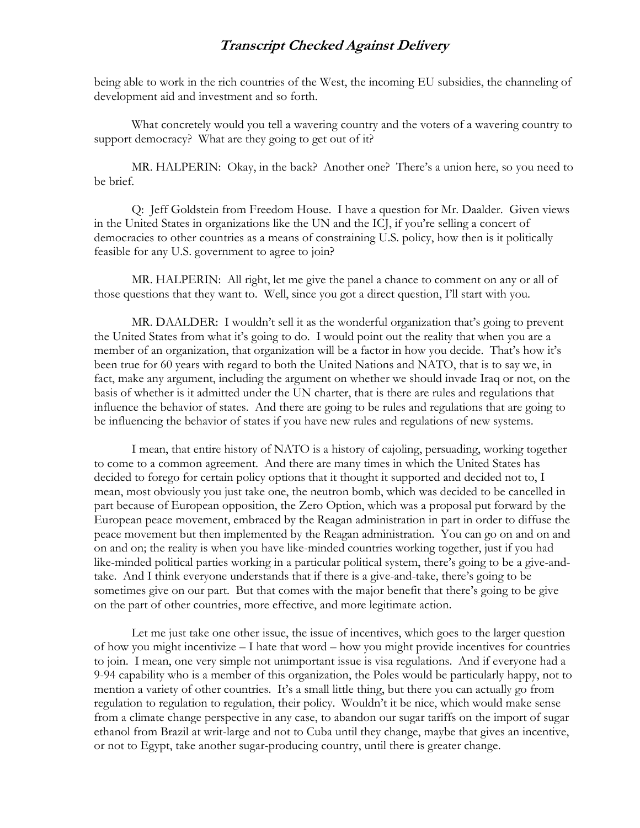being able to work in the rich countries of the West, the incoming EU subsidies, the channeling of development aid and investment and so forth.

What concretely would you tell a wavering country and the voters of a wavering country to support democracy? What are they going to get out of it?

MR. HALPERIN: Okay, in the back? Another one? There's a union here, so you need to be brief.

Q: Jeff Goldstein from Freedom House. I have a question for Mr. Daalder. Given views in the United States in organizations like the UN and the ICJ, if you're selling a concert of democracies to other countries as a means of constraining U.S. policy, how then is it politically feasible for any U.S. government to agree to join?

MR. HALPERIN: All right, let me give the panel a chance to comment on any or all of those questions that they want to. Well, since you got a direct question, I'll start with you.

MR. DAALDER: I wouldn't sell it as the wonderful organization that's going to prevent the United States from what it's going to do. I would point out the reality that when you are a member of an organization, that organization will be a factor in how you decide. That's how it's been true for 60 years with regard to both the United Nations and NATO, that is to say we, in fact, make any argument, including the argument on whether we should invade Iraq or not, on the basis of whether is it admitted under the UN charter, that is there are rules and regulations that influence the behavior of states. And there are going to be rules and regulations that are going to be influencing the behavior of states if you have new rules and regulations of new systems.

I mean, that entire history of NATO is a history of cajoling, persuading, working together to come to a common agreement. And there are many times in which the United States has decided to forego for certain policy options that it thought it supported and decided not to, I mean, most obviously you just take one, the neutron bomb, which was decided to be cancelled in part because of European opposition, the Zero Option, which was a proposal put forward by the European peace movement, embraced by the Reagan administration in part in order to diffuse the peace movement but then implemented by the Reagan administration. You can go on and on and on and on; the reality is when you have like-minded countries working together, just if you had like-minded political parties working in a particular political system, there's going to be a give-andtake. And I think everyone understands that if there is a give-and-take, there's going to be sometimes give on our part. But that comes with the major benefit that there's going to be give on the part of other countries, more effective, and more legitimate action.

Let me just take one other issue, the issue of incentives, which goes to the larger question of how you might incentivize – I hate that word – how you might provide incentives for countries to join. I mean, one very simple not unimportant issue is visa regulations. And if everyone had a 9-94 capability who is a member of this organization, the Poles would be particularly happy, not to mention a variety of other countries. It's a small little thing, but there you can actually go from regulation to regulation to regulation, their policy. Wouldn't it be nice, which would make sense from a climate change perspective in any case, to abandon our sugar tariffs on the import of sugar ethanol from Brazil at writ-large and not to Cuba until they change, maybe that gives an incentive, or not to Egypt, take another sugar-producing country, until there is greater change.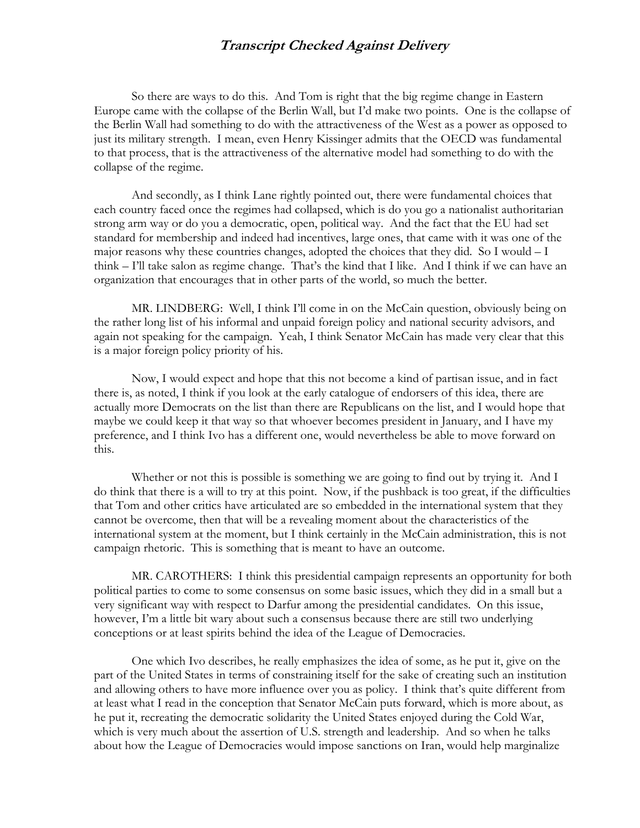So there are ways to do this. And Tom is right that the big regime change in Eastern Europe came with the collapse of the Berlin Wall, but I'd make two points. One is the collapse of the Berlin Wall had something to do with the attractiveness of the West as a power as opposed to just its military strength. I mean, even Henry Kissinger admits that the OECD was fundamental to that process, that is the attractiveness of the alternative model had something to do with the collapse of the regime.

And secondly, as I think Lane rightly pointed out, there were fundamental choices that each country faced once the regimes had collapsed, which is do you go a nationalist authoritarian strong arm way or do you a democratic, open, political way. And the fact that the EU had set standard for membership and indeed had incentives, large ones, that came with it was one of the major reasons why these countries changes, adopted the choices that they did. So I would  $-I$ think – I'll take salon as regime change. That's the kind that I like. And I think if we can have an organization that encourages that in other parts of the world, so much the better.

MR. LINDBERG: Well, I think I'll come in on the McCain question, obviously being on the rather long list of his informal and unpaid foreign policy and national security advisors, and again not speaking for the campaign. Yeah, I think Senator McCain has made very clear that this is a major foreign policy priority of his.

Now, I would expect and hope that this not become a kind of partisan issue, and in fact there is, as noted, I think if you look at the early catalogue of endorsers of this idea, there are actually more Democrats on the list than there are Republicans on the list, and I would hope that maybe we could keep it that way so that whoever becomes president in January, and I have my preference, and I think Ivo has a different one, would nevertheless be able to move forward on this.

Whether or not this is possible is something we are going to find out by trying it. And I do think that there is a will to try at this point. Now, if the pushback is too great, if the difficulties that Tom and other critics have articulated are so embedded in the international system that they cannot be overcome, then that will be a revealing moment about the characteristics of the international system at the moment, but I think certainly in the McCain administration, this is not campaign rhetoric. This is something that is meant to have an outcome.

MR. CAROTHERS: I think this presidential campaign represents an opportunity for both political parties to come to some consensus on some basic issues, which they did in a small but a very significant way with respect to Darfur among the presidential candidates. On this issue, however, I'm a little bit wary about such a consensus because there are still two underlying conceptions or at least spirits behind the idea of the League of Democracies.

One which Ivo describes, he really emphasizes the idea of some, as he put it, give on the part of the United States in terms of constraining itself for the sake of creating such an institution and allowing others to have more influence over you as policy. I think that's quite different from at least what I read in the conception that Senator McCain puts forward, which is more about, as he put it, recreating the democratic solidarity the United States enjoyed during the Cold War, which is very much about the assertion of U.S. strength and leadership. And so when he talks about how the League of Democracies would impose sanctions on Iran, would help marginalize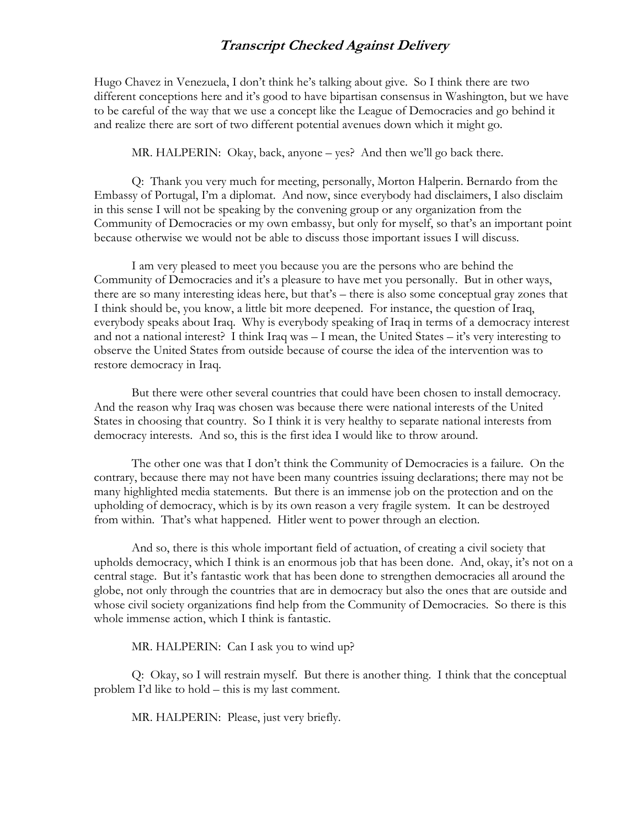Hugo Chavez in Venezuela, I don't think he's talking about give. So I think there are two different conceptions here and it's good to have bipartisan consensus in Washington, but we have to be careful of the way that we use a concept like the League of Democracies and go behind it and realize there are sort of two different potential avenues down which it might go.

MR. HALPERIN: Okay, back, anyone – yes? And then we'll go back there.

Q: Thank you very much for meeting, personally, Morton Halperin. Bernardo from the Embassy of Portugal, I'm a diplomat. And now, since everybody had disclaimers, I also disclaim in this sense I will not be speaking by the convening group or any organization from the Community of Democracies or my own embassy, but only for myself, so that's an important point because otherwise we would not be able to discuss those important issues I will discuss.

I am very pleased to meet you because you are the persons who are behind the Community of Democracies and it's a pleasure to have met you personally. But in other ways, there are so many interesting ideas here, but that's – there is also some conceptual gray zones that I think should be, you know, a little bit more deepened. For instance, the question of Iraq, everybody speaks about Iraq. Why is everybody speaking of Iraq in terms of a democracy interest and not a national interest? I think Iraq was – I mean, the United States – it's very interesting to observe the United States from outside because of course the idea of the intervention was to restore democracy in Iraq.

But there were other several countries that could have been chosen to install democracy. And the reason why Iraq was chosen was because there were national interests of the United States in choosing that country. So I think it is very healthy to separate national interests from democracy interests. And so, this is the first idea I would like to throw around.

The other one was that I don't think the Community of Democracies is a failure. On the contrary, because there may not have been many countries issuing declarations; there may not be many highlighted media statements. But there is an immense job on the protection and on the upholding of democracy, which is by its own reason a very fragile system. It can be destroyed from within. That's what happened. Hitler went to power through an election.

And so, there is this whole important field of actuation, of creating a civil society that upholds democracy, which I think is an enormous job that has been done. And, okay, it's not on a central stage. But it's fantastic work that has been done to strengthen democracies all around the globe, not only through the countries that are in democracy but also the ones that are outside and whose civil society organizations find help from the Community of Democracies. So there is this whole immense action, which I think is fantastic.

MR. HALPERIN: Can I ask you to wind up?

Q: Okay, so I will restrain myself. But there is another thing. I think that the conceptual problem I'd like to hold – this is my last comment.

MR. HALPERIN: Please, just very briefly.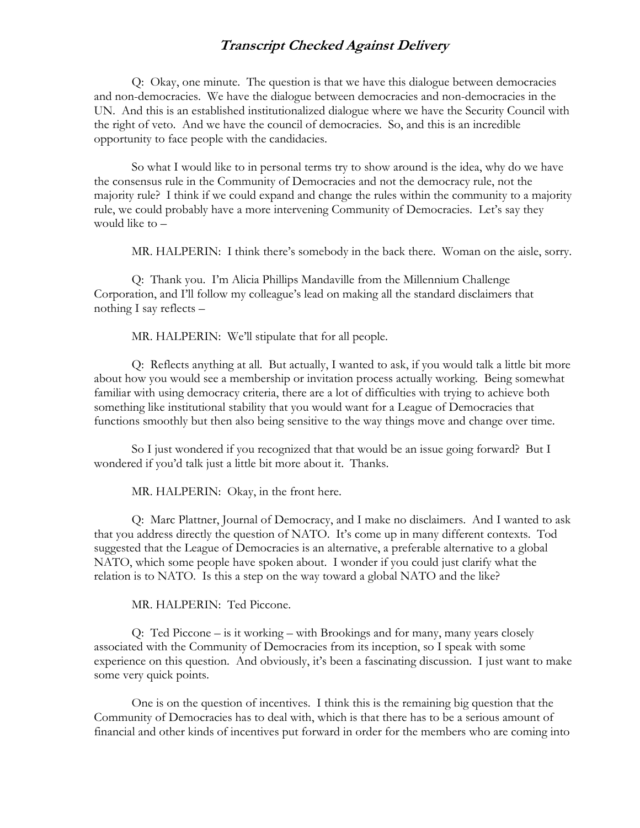Q: Okay, one minute. The question is that we have this dialogue between democracies and non-democracies. We have the dialogue between democracies and non-democracies in the UN. And this is an established institutionalized dialogue where we have the Security Council with the right of veto. And we have the council of democracies. So, and this is an incredible opportunity to face people with the candidacies.

So what I would like to in personal terms try to show around is the idea, why do we have the consensus rule in the Community of Democracies and not the democracy rule, not the majority rule? I think if we could expand and change the rules within the community to a majority rule, we could probably have a more intervening Community of Democracies. Let's say they would like to –

MR. HALPERIN: I think there's somebody in the back there. Woman on the aisle, sorry.

Q: Thank you. I'm Alicia Phillips Mandaville from the Millennium Challenge Corporation, and I'll follow my colleague's lead on making all the standard disclaimers that nothing I say reflects –

MR. HALPERIN: We'll stipulate that for all people.

Q: Reflects anything at all. But actually, I wanted to ask, if you would talk a little bit more about how you would see a membership or invitation process actually working. Being somewhat familiar with using democracy criteria, there are a lot of difficulties with trying to achieve both something like institutional stability that you would want for a League of Democracies that functions smoothly but then also being sensitive to the way things move and change over time.

So I just wondered if you recognized that that would be an issue going forward? But I wondered if you'd talk just a little bit more about it. Thanks.

MR. HALPERIN: Okay, in the front here.

Q: Marc Plattner, Journal of Democracy, and I make no disclaimers. And I wanted to ask that you address directly the question of NATO. It's come up in many different contexts. Tod suggested that the League of Democracies is an alternative, a preferable alternative to a global NATO, which some people have spoken about. I wonder if you could just clarify what the relation is to NATO. Is this a step on the way toward a global NATO and the like?

MR. HALPERIN: Ted Piccone.

Q: Ted Piccone – is it working – with Brookings and for many, many years closely associated with the Community of Democracies from its inception, so I speak with some experience on this question. And obviously, it's been a fascinating discussion. I just want to make some very quick points.

One is on the question of incentives. I think this is the remaining big question that the Community of Democracies has to deal with, which is that there has to be a serious amount of financial and other kinds of incentives put forward in order for the members who are coming into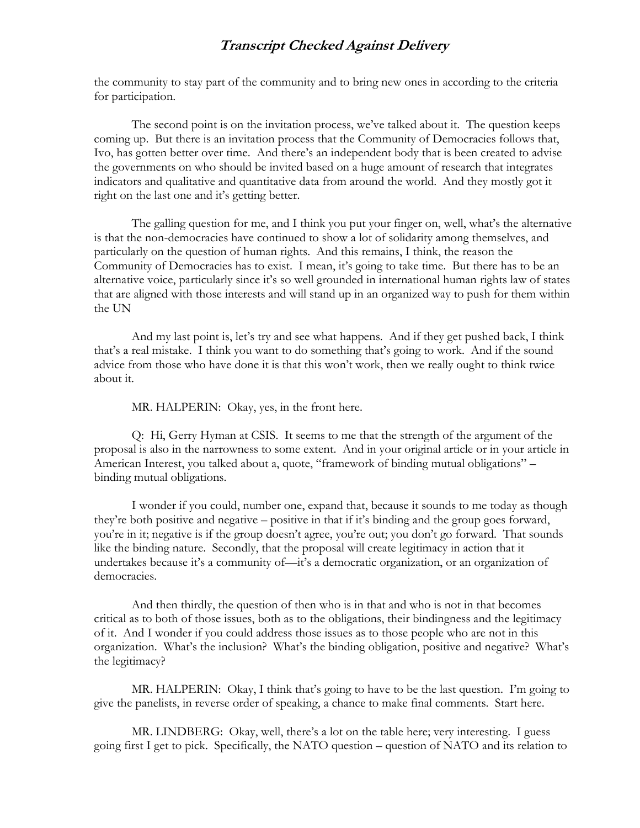the community to stay part of the community and to bring new ones in according to the criteria for participation.

The second point is on the invitation process, we've talked about it. The question keeps coming up. But there is an invitation process that the Community of Democracies follows that, Ivo, has gotten better over time. And there's an independent body that is been created to advise the governments on who should be invited based on a huge amount of research that integrates indicators and qualitative and quantitative data from around the world. And they mostly got it right on the last one and it's getting better.

The galling question for me, and I think you put your finger on, well, what's the alternative is that the non-democracies have continued to show a lot of solidarity among themselves, and particularly on the question of human rights. And this remains, I think, the reason the Community of Democracies has to exist. I mean, it's going to take time. But there has to be an alternative voice, particularly since it's so well grounded in international human rights law of states that are aligned with those interests and will stand up in an organized way to push for them within the UN

And my last point is, let's try and see what happens. And if they get pushed back, I think that's a real mistake. I think you want to do something that's going to work. And if the sound advice from those who have done it is that this won't work, then we really ought to think twice about it.

MR. HALPERIN: Okay, yes, in the front here.

Q: Hi, Gerry Hyman at CSIS. It seems to me that the strength of the argument of the proposal is also in the narrowness to some extent. And in your original article or in your article in American Interest, you talked about a, quote, "framework of binding mutual obligations" – binding mutual obligations.

I wonder if you could, number one, expand that, because it sounds to me today as though they're both positive and negative – positive in that if it's binding and the group goes forward, you're in it; negative is if the group doesn't agree, you're out; you don't go forward. That sounds like the binding nature. Secondly, that the proposal will create legitimacy in action that it undertakes because it's a community of—it's a democratic organization, or an organization of democracies.

And then thirdly, the question of then who is in that and who is not in that becomes critical as to both of those issues, both as to the obligations, their bindingness and the legitimacy of it. And I wonder if you could address those issues as to those people who are not in this organization. What's the inclusion? What's the binding obligation, positive and negative? What's the legitimacy?

MR. HALPERIN: Okay, I think that's going to have to be the last question. I'm going to give the panelists, in reverse order of speaking, a chance to make final comments. Start here.

MR. LINDBERG: Okay, well, there's a lot on the table here; very interesting. I guess going first I get to pick. Specifically, the NATO question – question of NATO and its relation to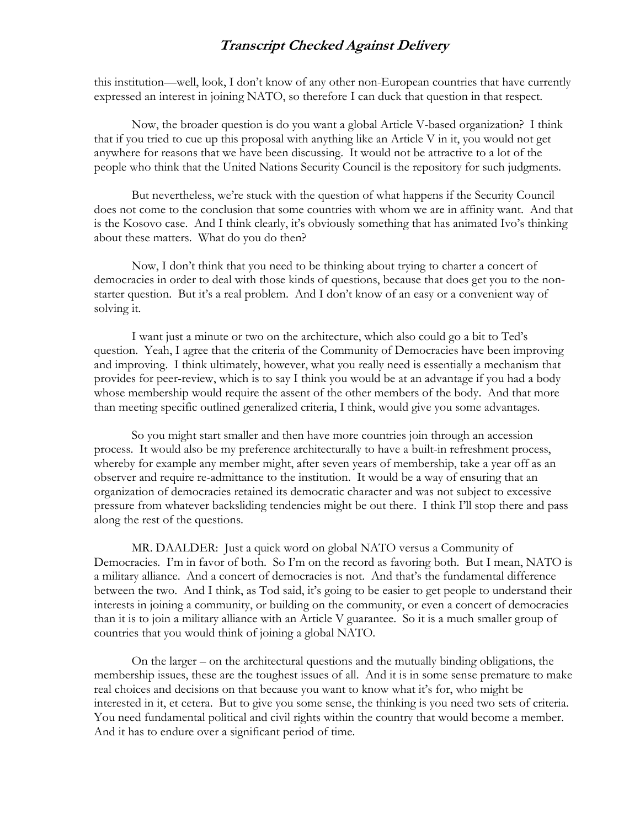this institution—well, look, I don't know of any other non-European countries that have currently expressed an interest in joining NATO, so therefore I can duck that question in that respect.

Now, the broader question is do you want a global Article V-based organization? I think that if you tried to cue up this proposal with anything like an Article V in it, you would not get anywhere for reasons that we have been discussing. It would not be attractive to a lot of the people who think that the United Nations Security Council is the repository for such judgments.

But nevertheless, we're stuck with the question of what happens if the Security Council does not come to the conclusion that some countries with whom we are in affinity want. And that is the Kosovo case. And I think clearly, it's obviously something that has animated Ivo's thinking about these matters. What do you do then?

Now, I don't think that you need to be thinking about trying to charter a concert of democracies in order to deal with those kinds of questions, because that does get you to the nonstarter question. But it's a real problem. And I don't know of an easy or a convenient way of solving it.

I want just a minute or two on the architecture, which also could go a bit to Ted's question. Yeah, I agree that the criteria of the Community of Democracies have been improving and improving. I think ultimately, however, what you really need is essentially a mechanism that provides for peer-review, which is to say I think you would be at an advantage if you had a body whose membership would require the assent of the other members of the body. And that more than meeting specific outlined generalized criteria, I think, would give you some advantages.

So you might start smaller and then have more countries join through an accession process. It would also be my preference architecturally to have a built-in refreshment process, whereby for example any member might, after seven years of membership, take a year off as an observer and require re-admittance to the institution. It would be a way of ensuring that an organization of democracies retained its democratic character and was not subject to excessive pressure from whatever backsliding tendencies might be out there. I think I'll stop there and pass along the rest of the questions.

MR. DAALDER: Just a quick word on global NATO versus a Community of Democracies. I'm in favor of both. So I'm on the record as favoring both. But I mean, NATO is a military alliance. And a concert of democracies is not. And that's the fundamental difference between the two. And I think, as Tod said, it's going to be easier to get people to understand their interests in joining a community, or building on the community, or even a concert of democracies than it is to join a military alliance with an Article V guarantee. So it is a much smaller group of countries that you would think of joining a global NATO.

On the larger – on the architectural questions and the mutually binding obligations, the membership issues, these are the toughest issues of all. And it is in some sense premature to make real choices and decisions on that because you want to know what it's for, who might be interested in it, et cetera. But to give you some sense, the thinking is you need two sets of criteria. You need fundamental political and civil rights within the country that would become a member. And it has to endure over a significant period of time.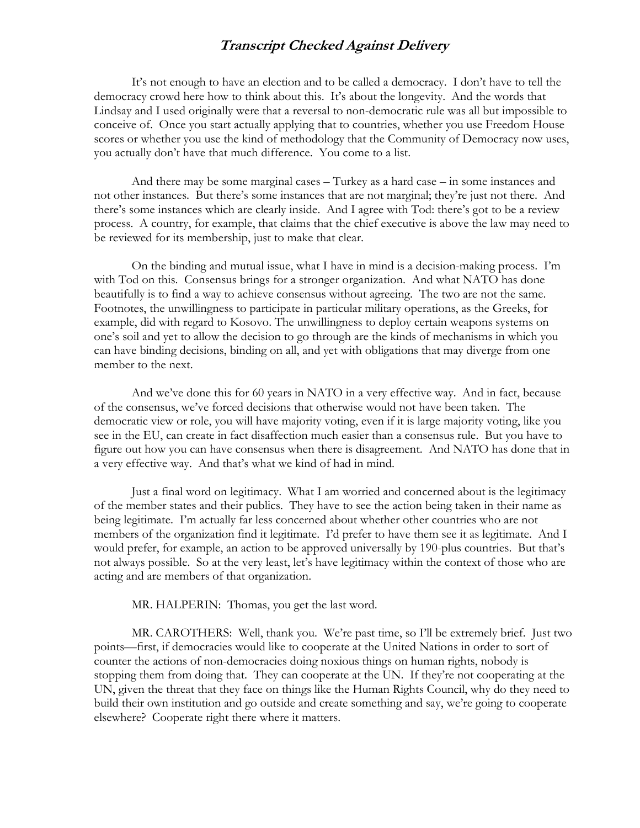It's not enough to have an election and to be called a democracy. I don't have to tell the democracy crowd here how to think about this. It's about the longevity. And the words that Lindsay and I used originally were that a reversal to non-democratic rule was all but impossible to conceive of. Once you start actually applying that to countries, whether you use Freedom House scores or whether you use the kind of methodology that the Community of Democracy now uses, you actually don't have that much difference. You come to a list.

And there may be some marginal cases – Turkey as a hard case – in some instances and not other instances. But there's some instances that are not marginal; they're just not there. And there's some instances which are clearly inside. And I agree with Tod: there's got to be a review process. A country, for example, that claims that the chief executive is above the law may need to be reviewed for its membership, just to make that clear.

On the binding and mutual issue, what I have in mind is a decision-making process. I'm with Tod on this. Consensus brings for a stronger organization. And what NATO has done beautifully is to find a way to achieve consensus without agreeing. The two are not the same. Footnotes, the unwillingness to participate in particular military operations, as the Greeks, for example, did with regard to Kosovo. The unwillingness to deploy certain weapons systems on one's soil and yet to allow the decision to go through are the kinds of mechanisms in which you can have binding decisions, binding on all, and yet with obligations that may diverge from one member to the next.

And we've done this for 60 years in NATO in a very effective way. And in fact, because of the consensus, we've forced decisions that otherwise would not have been taken. The democratic view or role, you will have majority voting, even if it is large majority voting, like you see in the EU, can create in fact disaffection much easier than a consensus rule. But you have to figure out how you can have consensus when there is disagreement. And NATO has done that in a very effective way. And that's what we kind of had in mind.

Just a final word on legitimacy. What I am worried and concerned about is the legitimacy of the member states and their publics. They have to see the action being taken in their name as being legitimate. I'm actually far less concerned about whether other countries who are not members of the organization find it legitimate. I'd prefer to have them see it as legitimate. And I would prefer, for example, an action to be approved universally by 190-plus countries. But that's not always possible. So at the very least, let's have legitimacy within the context of those who are acting and are members of that organization.

MR. HALPERIN: Thomas, you get the last word.

MR. CAROTHERS: Well, thank you. We're past time, so I'll be extremely brief. Just two points—first, if democracies would like to cooperate at the United Nations in order to sort of counter the actions of non-democracies doing noxious things on human rights, nobody is stopping them from doing that. They can cooperate at the UN. If they're not cooperating at the UN, given the threat that they face on things like the Human Rights Council, why do they need to build their own institution and go outside and create something and say, we're going to cooperate elsewhere? Cooperate right there where it matters.